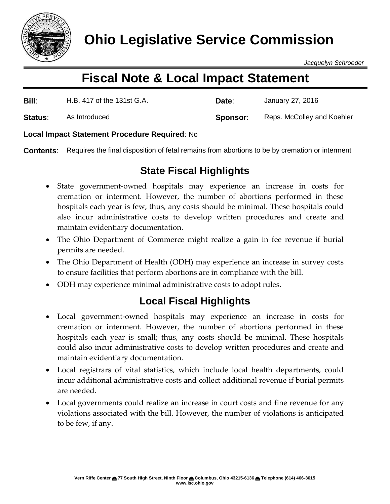

*Jacquelyn Schroeder*

# **Fiscal Note & Local Impact Statement**

| Bill:   | H.B. 417 of the 131st G.A. | Date:    | January 27, 2016           |
|---------|----------------------------|----------|----------------------------|
| Status: | As Introduced              | Sponsor: | Reps. McColley and Koehler |

#### **Local Impact Statement Procedure Required**: No

**Contents**: Requires the final disposition of fetal remains from abortions to be by cremation or interment

## **State Fiscal Highlights**

- State government-owned hospitals may experience an increase in costs for cremation or interment. However, the number of abortions performed in these hospitals each year is few; thus, any costs should be minimal. These hospitals could also incur administrative costs to develop written procedures and create and maintain evidentiary documentation.
- The Ohio Department of Commerce might realize a gain in fee revenue if burial permits are needed.
- The Ohio Department of Health (ODH) may experience an increase in survey costs to ensure facilities that perform abortions are in compliance with the bill.
- ODH may experience minimal administrative costs to adopt rules.

### **Local Fiscal Highlights**

- Local government-owned hospitals may experience an increase in costs for cremation or interment. However, the number of abortions performed in these hospitals each year is small; thus, any costs should be minimal. These hospitals could also incur administrative costs to develop written procedures and create and maintain evidentiary documentation.
- Local registrars of vital statistics, which include local health departments, could incur additional administrative costs and collect additional revenue if burial permits are needed.
- Local governments could realize an increase in court costs and fine revenue for any violations associated with the bill. However, the number of violations is anticipated to be few, if any.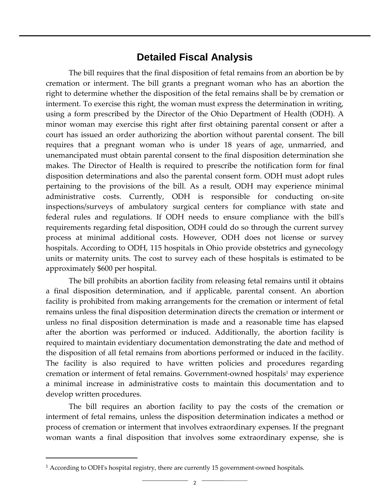#### **Detailed Fiscal Analysis**

The bill requires that the final disposition of fetal remains from an abortion be by cremation or interment. The bill grants a pregnant woman who has an abortion the right to determine whether the disposition of the fetal remains shall be by cremation or interment. To exercise this right, the woman must express the determination in writing, using a form prescribed by the Director of the Ohio Department of Health (ODH). A minor woman may exercise this right after first obtaining parental consent or after a court has issued an order authorizing the abortion without parental consent. The bill requires that a pregnant woman who is under 18 years of age, unmarried, and unemancipated must obtain parental consent to the final disposition determination she makes. The Director of Health is required to prescribe the notification form for final disposition determinations and also the parental consent form. ODH must adopt rules pertaining to the provisions of the bill. As a result, ODH may experience minimal administrative costs. Currently, ODH is responsible for conducting on-site inspections/surveys of ambulatory surgical centers for compliance with state and federal rules and regulations. If ODH needs to ensure compliance with the bill's requirements regarding fetal disposition, ODH could do so through the current survey process at minimal additional costs. However, ODH does not license or survey hospitals. According to ODH, 115 hospitals in Ohio provide obstetrics and gynecology units or maternity units. The cost to survey each of these hospitals is estimated to be approximately \$600 per hospital.

The bill prohibits an abortion facility from releasing fetal remains until it obtains a final disposition determination, and if applicable, parental consent. An abortion facility is prohibited from making arrangements for the cremation or interment of fetal remains unless the final disposition determination directs the cremation or interment or unless no final disposition determination is made and a reasonable time has elapsed after the abortion was performed or induced. Additionally, the abortion facility is required to maintain evidentiary documentation demonstrating the date and method of the disposition of all fetal remains from abortions performed or induced in the facility. The facility is also required to have written policies and procedures regarding cremation or interment of fetal remains. Government-owned hospitals<sup>1</sup> may experience a minimal increase in administrative costs to maintain this documentation and to develop written procedures.

The bill requires an abortion facility to pay the costs of the cremation or interment of fetal remains, unless the disposition determination indicates a method or process of cremation or interment that involves extraordinary expenses. If the pregnant woman wants a final disposition that involves some extraordinary expense, she is

 $\overline{a}$ 

<sup>&</sup>lt;sup>1</sup> According to ODH's hospital registry, there are currently 15 government-owned hospitals.